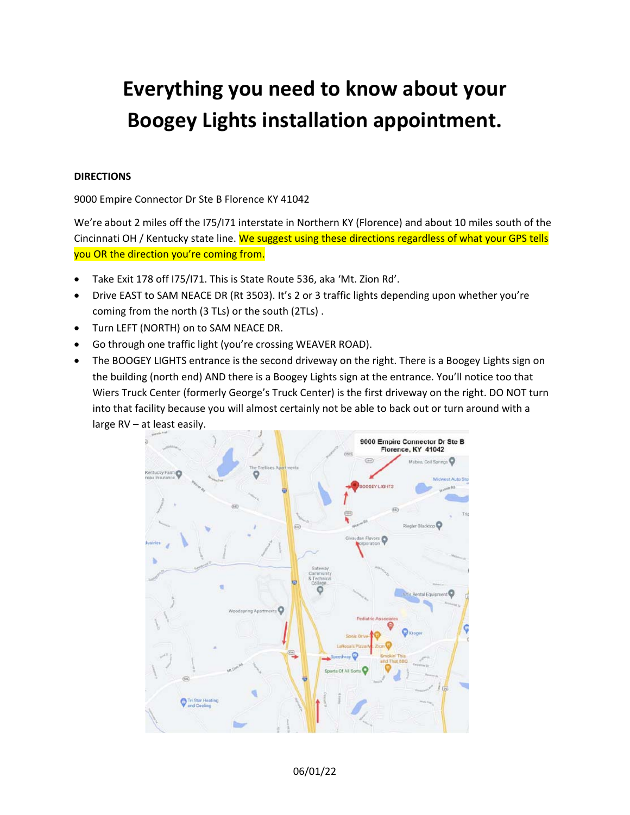# **Everything you need to know about your Boogey Lights installation appointment.**

# **DIRECTIONS**

9000 Empire Connector Dr Ste B Florence KY 41042

We're about 2 miles off the I75/I71 interstate in Northern KY (Florence) and about 10 miles south of the Cincinnati OH / Kentucky state line. We suggest using these directions regardless of what your GPS tells you OR the direction you're coming from.

- Take Exit 178 off I75/I71. This is State Route 536, aka 'Mt. Zion Rd'.
- Drive EAST to SAM NEACE DR (Rt 3503). It's 2 or 3 traffic lights depending upon whether you're coming from the north (3 TLs) or the south (2TLs) .
- Turn LEFT (NORTH) on to SAM NEACE DR.
- Go through one traffic light (you're crossing WEAVER ROAD).
- The BOOGEY LIGHTS entrance is the second driveway on the right. There is a Boogey Lights sign on the building (north end) AND there is a Boogey Lights sign at the entrance. You'll notice too that Wiers Truck Center (formerly George's Truck Center) is the first driveway on the right. DO NOT turn into that facility because you will almost certainly not be able to back out or turn around with a large RV – at least easily.

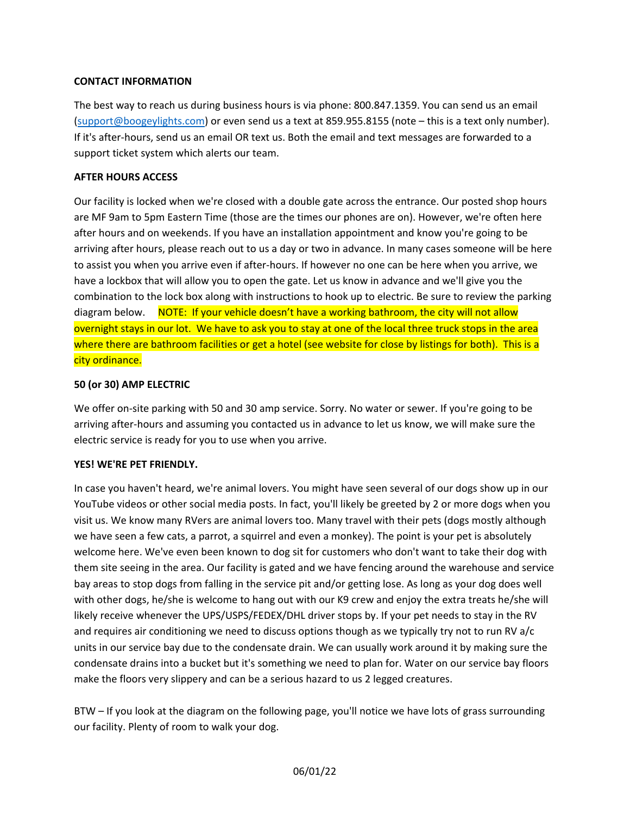# **CONTACT INFORMATION**

The best way to reach us during business hours is via phone: 800.847.1359. You can send us an email (support@boogeylights.com) or even send us a text at 859.955.8155 (note – this is a text only number). If it's after‐hours, send us an email OR text us. Both the email and text messages are forwarded to a support ticket system which alerts our team.

# **AFTER HOURS ACCESS**

Our facility is locked when we're closed with a double gate across the entrance. Our posted shop hours are MF 9am to 5pm Eastern Time (those are the times our phones are on). However, we're often here after hours and on weekends. If you have an installation appointment and know you're going to be arriving after hours, please reach out to us a day or two in advance. In many cases someone will be here to assist you when you arrive even if after‐hours. If however no one can be here when you arrive, we have a lockbox that will allow you to open the gate. Let us know in advance and we'll give you the combination to the lock box along with instructions to hook up to electric. Be sure to review the parking diagram below. NOTE: If your vehicle doesn't have a working bathroom, the city will not allow overnight stays in our lot. We have to ask you to stay at one of the local three truck stops in the area where there are bathroom facilities or get a hotel (see website for close by listings for both). This is a city ordinance.

# **50 (or 30) AMP ELECTRIC**

We offer on-site parking with 50 and 30 amp service. Sorry. No water or sewer. If you're going to be arriving after‐hours and assuming you contacted us in advance to let us know, we will make sure the electric service is ready for you to use when you arrive.

## **YES! WE'RE PET FRIENDLY.**

In case you haven't heard, we're animal lovers. You might have seen several of our dogs show up in our YouTube videos or other social media posts. In fact, you'll likely be greeted by 2 or more dogs when you visit us. We know many RVers are animal lovers too. Many travel with their pets (dogs mostly although we have seen a few cats, a parrot, a squirrel and even a monkey). The point is your pet is absolutely welcome here. We've even been known to dog sit for customers who don't want to take their dog with them site seeing in the area. Our facility is gated and we have fencing around the warehouse and service bay areas to stop dogs from falling in the service pit and/or getting lose. As long as your dog does well with other dogs, he/she is welcome to hang out with our K9 crew and enjoy the extra treats he/she will likely receive whenever the UPS/USPS/FEDEX/DHL driver stops by. If your pet needs to stay in the RV and requires air conditioning we need to discuss options though as we typically try not to run RV a/c units in our service bay due to the condensate drain. We can usually work around it by making sure the condensate drains into a bucket but it's something we need to plan for. Water on our service bay floors make the floors very slippery and can be a serious hazard to us 2 legged creatures.

BTW – If you look at the diagram on the following page, you'll notice we have lots of grass surrounding our facility. Plenty of room to walk your dog.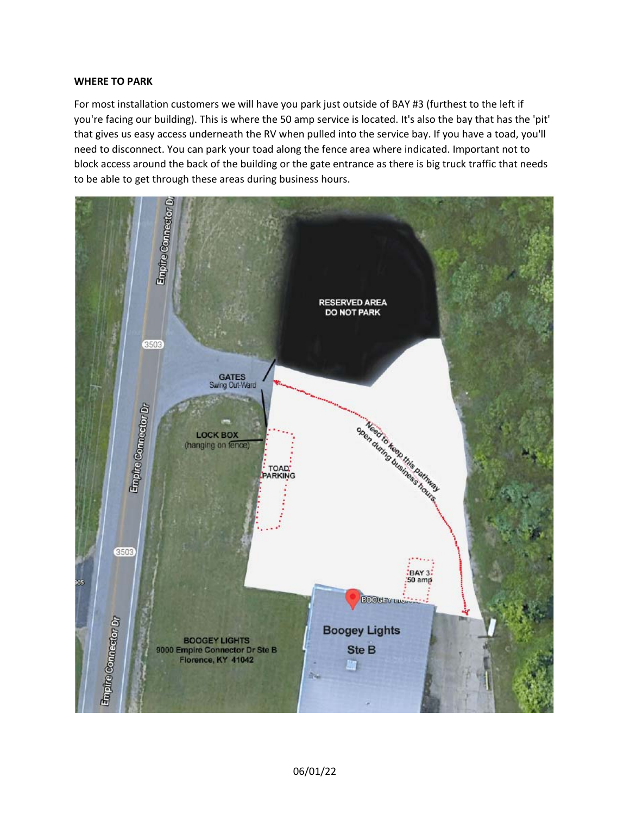#### **WHERE TO PARK**

For most installation customers we will have you park just outside of BAY #3 (furthest to the left if you're facing our building). This is where the 50 amp service is located. It's also the bay that has the 'pit' that gives us easy access underneath the RV when pulled into the service bay. If you have a toad, you'll need to disconnect. You can park your toad along the fence area where indicated. Important not to block access around the back of the building or the gate entrance as there is big truck traffic that needs to be able to get through these areas during business hours.

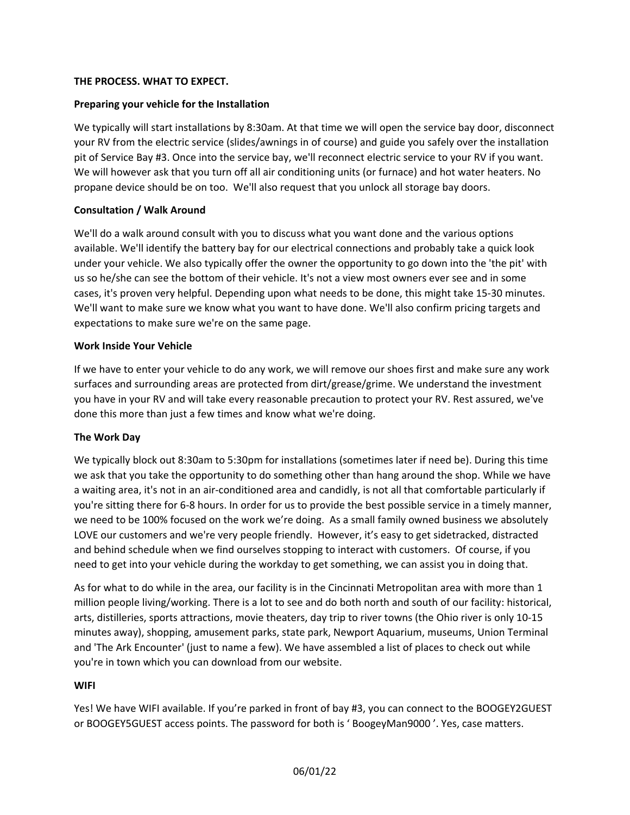# **THE PROCESS. WHAT TO EXPECT.**

# **Preparing your vehicle for the Installation**

We typically will start installations by 8:30am. At that time we will open the service bay door, disconnect your RV from the electric service (slides/awnings in of course) and guide you safely over the installation pit of Service Bay #3. Once into the service bay, we'll reconnect electric service to your RV if you want. We will however ask that you turn off all air conditioning units (or furnace) and hot water heaters. No propane device should be on too. We'll also request that you unlock all storage bay doors.

# **Consultation / Walk Around**

We'll do a walk around consult with you to discuss what you want done and the various options available. We'll identify the battery bay for our electrical connections and probably take a quick look under your vehicle. We also typically offer the owner the opportunity to go down into the 'the pit' with us so he/she can see the bottom of their vehicle. It's not a view most owners ever see and in some cases, it's proven very helpful. Depending upon what needs to be done, this might take 15‐30 minutes. We'll want to make sure we know what you want to have done. We'll also confirm pricing targets and expectations to make sure we're on the same page.

## **Work Inside Your Vehicle**

If we have to enter your vehicle to do any work, we will remove our shoes first and make sure any work surfaces and surrounding areas are protected from dirt/grease/grime. We understand the investment you have in your RV and will take every reasonable precaution to protect your RV. Rest assured, we've done this more than just a few times and know what we're doing.

## **The Work Day**

We typically block out 8:30am to 5:30pm for installations (sometimes later if need be). During this time we ask that you take the opportunity to do something other than hang around the shop. While we have a waiting area, it's not in an air‐conditioned area and candidly, is not all that comfortable particularly if you're sitting there for 6‐8 hours. In order for us to provide the best possible service in a timely manner, we need to be 100% focused on the work we're doing. As a small family owned business we absolutely LOVE our customers and we're very people friendly. However, it's easy to get sidetracked, distracted and behind schedule when we find ourselves stopping to interact with customers. Of course, if you need to get into your vehicle during the workday to get something, we can assist you in doing that.

As for what to do while in the area, our facility is in the Cincinnati Metropolitan area with more than 1 million people living/working. There is a lot to see and do both north and south of our facility: historical, arts, distilleries, sports attractions, movie theaters, day trip to river towns (the Ohio river is only 10‐15 minutes away), shopping, amusement parks, state park, Newport Aquarium, museums, Union Terminal and 'The Ark Encounter' (just to name a few). We have assembled a list of places to check out while you're in town which you can download from our website.

## **WIFI**

Yes! We have WIFI available. If you're parked in front of bay #3, you can connect to the BOOGEY2GUEST or BOOGEY5GUEST access points. The password for both is ' BoogeyMan9000 '. Yes, case matters.